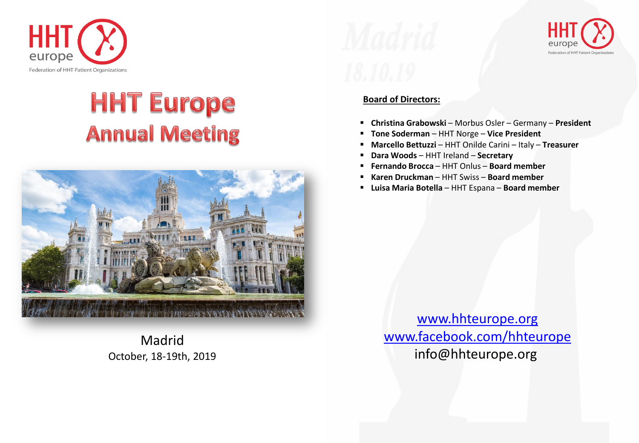

# **HHT Europe Annual Meeting**



Madrid October, 18-19th, 2019



## **Board of Directors:**

- **Christina Grabowski** Morbus Osler Germany **President**
- **Tone Soderman** HHT Norge **Vice President**
- **Marcello Bettuzzi** HHT Onilde Carini Italy **Treasurer**
- **Dara Woods** HHT Ireland **Secretary**
- **Fernando Brocca** HHT Onlus **Board member**
- **Karen Druckman** HHT Swiss **Board member**
- **Luisa Maria Botella** HHT Espana **Board member**

[www.hhteurope.org](http://www.hhteurope.org/) [www.facebook.com/hhteurope](http://www.facebook.com/hhteurope) info@hhteurope.org